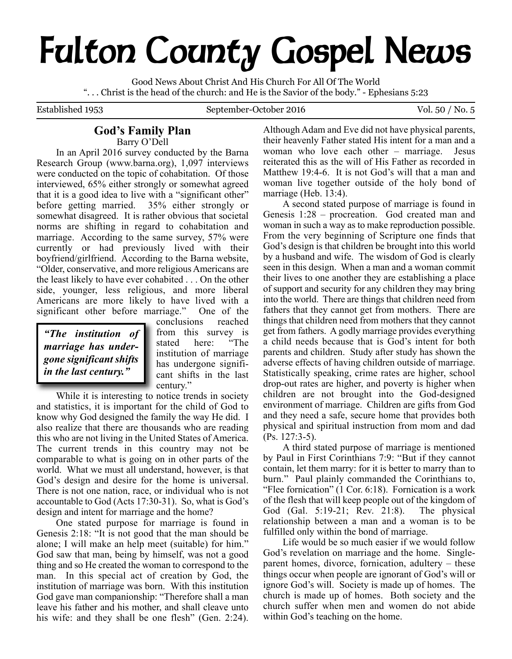# **Fulton County Gospel News**

Good News About Christ And His Church For All Of The World ". . . Christ is the head of the church: and He is the Savior of the body." - Ephesians 5:23

Established 1953 September-October 2016 Vol. 50 / No. 5

# **God's Family Plan**

Barry O'Dell

In an April 2016 survey conducted by the Barna Research Group (www.barna.org), 1,097 interviews were conducted on the topic of cohabitation. Of those interviewed, 65% either strongly or somewhat agreed that it is a good idea to live with a "significant other" before getting married. 35% either strongly or somewhat disagreed. It is rather obvious that societal norms are shifting in regard to cohabitation and marriage. According to the same survey, 57% were currently or had previously lived with their boyfriend/girlfriend. According to the Barna website, "Older, conservative, and more religious Americans are the least likely to have ever cohabited . . . On the other side, younger, less religious, and more liberal Americans are more likely to have lived with a significant other before marriage." One of the

*"The institution of marriage has undergone significant shifts in the last century."*

conclusions reached from this survey is<br>stated here: "The stated here: institution of marriage has undergone significant shifts in the last century."

While it is interesting to notice trends in society and statistics, it is important for the child of God to know why God designed the family the way He did. I also realize that there are thousands who are reading this who are not living in the United States of America. The current trends in this country may not be comparable to what is going on in other parts of the world. What we must all understand, however, is that God's design and desire for the home is universal. There is not one nation, race, or individual who is not accountable to God (Acts 17:30-31). So, what is God's design and intent for marriage and the home?

One stated purpose for marriage is found in Genesis 2:18: "It is not good that the man should be alone; I will make an help meet (suitable) for him." God saw that man, being by himself, was not a good thing and so He created the woman to correspond to the man. In this special act of creation by God, the institution of marriage was born. With this institution God gave man companionship: "Therefore shall a man leave his father and his mother, and shall cleave unto his wife: and they shall be one flesh" (Gen. 2:24).

Although Adam and Eve did not have physical parents, their heavenly Father stated His intent for a man and a woman who love each other – marriage. Jesus reiterated this as the will of His Father as recorded in Matthew 19:4-6. It is not God's will that a man and woman live together outside of the holy bond of marriage (Heb. 13:4).

A second stated purpose of marriage is found in Genesis 1:28 – procreation. God created man and woman in such a way as to make reproduction possible. From the very beginning of Scripture one finds that God's design is that children be brought into this world by a husband and wife. The wisdom of God is clearly seen in this design. When a man and a woman commit their lives to one another they are establishing a place of support and security for any children they may bring into the world. There are things that children need from fathers that they cannot get from mothers. There are things that children need from mothers that they cannot get from fathers. A godly marriage provides everything a child needs because that is God's intent for both parents and children. Study after study has shown the adverse effects of having children outside of marriage. Statistically speaking, crime rates are higher, school drop-out rates are higher, and poverty is higher when children are not brought into the God-designed environment of marriage. Children are gifts from God and they need a safe, secure home that provides both physical and spiritual instruction from mom and dad (Ps. 127:3-5).

A third stated purpose of marriage is mentioned by Paul in First Corinthians 7:9: "But if they cannot contain, let them marry: for it is better to marry than to burn." Paul plainly commanded the Corinthians to, "Flee fornication" (1 Cor. 6:18). Fornication is a work of the flesh that will keep people out of the kingdom of God (Gal. 5:19-21; Rev. 21:8). The physical relationship between a man and a woman is to be fulfilled only within the bond of marriage.

Life would be so much easier if we would follow God's revelation on marriage and the home. Singleparent homes, divorce, fornication, adultery – these things occur when people are ignorant of God's will or ignore God's will. Society is made up of homes. The church is made up of homes. Both society and the church suffer when men and women do not abide within God's teaching on the home.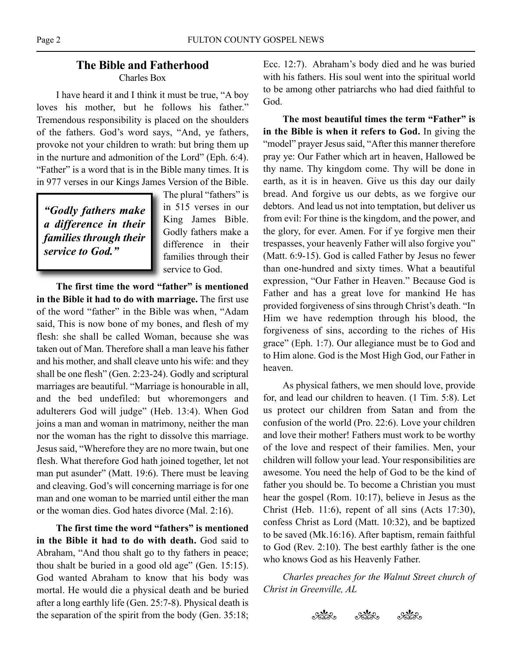## **The Bible and Fatherhood** Charles Box

I have heard it and I think it must be true, "A boy loves his mother, but he follows his father." Tremendous responsibility is placed on the shoulders of the fathers. God's word says, "And, ye fathers, provoke not your children to wrath: but bring them up in the nurture and admonition of the Lord" (Eph. 6:4). "Father" is a word that is in the Bible many times. It is in 977 verses in our Kings James Version of the Bible.

*"Godly fathers make a difference in their families through their service to God."*

The plural "fathers" is in 515 verses in our King James Bible. Godly fathers make a difference in their families through their service to God.

**The first time the word "father" is mentioned in the Bible it had to do with marriage.** The first use of the word "father" in the Bible was when, "Adam said, This is now bone of my bones, and flesh of my flesh: she shall be called Woman, because she was taken out of Man. Therefore shall a man leave his father and his mother, and shall cleave unto his wife: and they shall be one flesh" (Gen. 2:23-24). Godly and scriptural marriages are beautiful. "Marriage is honourable in all, and the bed undefiled: but whoremongers and adulterers God will judge" (Heb. 13:4). When God joins a man and woman in matrimony, neither the man nor the woman has the right to dissolve this marriage. Jesus said, "Wherefore they are no more twain, but one flesh. What therefore God hath joined together, let not man put asunder" (Matt. 19:6). There must be leaving and cleaving. God's will concerning marriage is for one man and one woman to be married until either the man or the woman dies. God hates divorce (Mal. 2:16).

**The first time the word "fathers" is mentioned in the Bible it had to do with death.** God said to Abraham, "And thou shalt go to thy fathers in peace; thou shalt be buried in a good old age" (Gen. 15:15). God wanted Abraham to know that his body was mortal. He would die a physical death and be buried after a long earthly life (Gen. 25:7-8). Physical death is the separation of the spirit from the body (Gen. 35:18; Ecc. 12:7). Abraham's body died and he was buried with his fathers. His soul went into the spiritual world to be among other patriarchs who had died faithful to God.

**The most beautiful times the term "Father" is in the Bible is when it refers to God.** In giving the "model" prayer Jesus said, "After this manner therefore pray ye: Our Father which art in heaven, Hallowed be thy name. Thy kingdom come. Thy will be done in earth, as it is in heaven. Give us this day our daily bread. And forgive us our debts, as we forgive our debtors. And lead us not into temptation, but deliver us from evil: For thine is the kingdom, and the power, and the glory, for ever. Amen. For if ye forgive men their trespasses, your heavenly Father will also forgive you" (Matt. 6:9-15). God is called Father by Jesus no fewer than one-hundred and sixty times. What a beautiful expression, "Our Father in Heaven." Because God is Father and has a great love for mankind He has provided forgiveness of sins through Christ's death. "In Him we have redemption through his blood, the forgiveness of sins, according to the riches of His grace" (Eph. 1:7). Our allegiance must be to God and to Him alone. God is the Most High God, our Father in heaven.

As physical fathers, we men should love, provide for, and lead our children to heaven. (1 Tim. 5:8). Let us protect our children from Satan and from the confusion of the world (Pro. 22:6). Love your children and love their mother! Fathers must work to be worthy of the love and respect of their families. Men, your children will follow your lead. Your responsibilities are awesome. You need the help of God to be the kind of father you should be. To become a Christian you must hear the gospel (Rom. 10:17), believe in Jesus as the Christ (Heb. 11:6), repent of all sins (Acts 17:30), confess Christ as Lord (Matt. 10:32), and be baptized to be saved (Mk.16:16). After baptism, remain faithful to God (Rev. 2:10). The best earthly father is the one who knows God as his Heavenly Father.

*Charles preaches for the Walnut Street church of Christ in Greenville, AL*

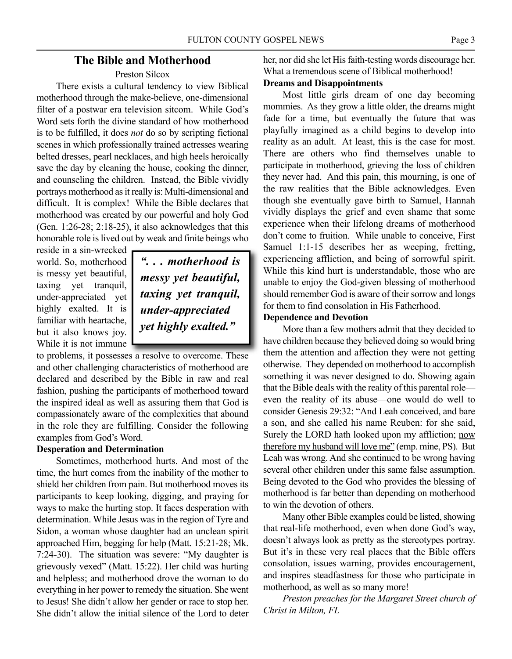## **The Bible and Motherhood**

#### Preston Silcox

There exists a cultural tendency to view Biblical motherhood through the make-believe, one-dimensional filter of a postwar era television sitcom. While God's Word sets forth the divine standard of how motherhood is to be fulfilled, it does *not* do so by scripting fictional scenes in which professionally trained actresses wearing belted dresses, pearl necklaces, and high heels heroically save the day by cleaning the house, cooking the dinner, and counseling the children. Instead, the Bible vividly portrays motherhood as it really is: Multi-dimensional and difficult. It is complex! While the Bible declares that motherhood was created by our powerful and holy God (Gen. 1:26-28; 2:18-25), it also acknowledges that this honorable role is lived out by weak and finite beings who

reside in a sin-wrecked world. So, motherhood is messy yet beautiful, taxing yet tranquil, under-appreciated yet highly exalted. It is familiar with heartache, but it also knows joy. While it is not immune

*". . . motherhood is messy yet beautiful, taxing yet tranquil, under-appreciated yet highly exalted."*

to problems, it possesses a resolve to overcome. These and other challenging characteristics of motherhood are declared and described by the Bible in raw and real fashion, pushing the participants of motherhood toward the inspired ideal as well as assuring them that God is compassionately aware of the complexities that abound in the role they are fulfilling. Consider the following examples from God's Word.

## **Desperation and Determination**

Sometimes, motherhood hurts. And most of the time, the hurt comes from the inability of the mother to shield her children from pain. But motherhood moves its participants to keep looking, digging, and praying for ways to make the hurting stop. It faces desperation with determination. While Jesus was in the region of Tyre and Sidon, a woman whose daughter had an unclean spirit approached Him, begging for help (Matt. 15:21-28; Mk. 7:24-30). The situation was severe: "My daughter is grievously vexed" (Matt. 15:22). Her child was hurting and helpless; and motherhood drove the woman to do everything in her power to remedy the situation. She went to Jesus! She didn't allow her gender or race to stop her. She didn't allow the initial silence of the Lord to deter her, nor did she let His faith-testing words discourage her. What a tremendous scene of Biblical motherhood!

## **Dreams and Disappointments**

Most little girls dream of one day becoming mommies. As they grow a little older, the dreams might fade for a time, but eventually the future that was playfully imagined as a child begins to develop into reality as an adult. At least, this is the case for most. There are others who find themselves unable to participate in motherhood, grieving the loss of children they never had. And this pain, this mourning, is one of the raw realities that the Bible acknowledges. Even though she eventually gave birth to Samuel, Hannah vividly displays the grief and even shame that some experience when their lifelong dreams of motherhood don't come to fruition. While unable to conceive, First Samuel 1:1-15 describes her as weeping, fretting, experiencing affliction, and being of sorrowful spirit. While this kind hurt is understandable, those who are unable to enjoy the God-given blessing of motherhood should remember God is aware of their sorrow and longs for them to find consolation in His Fatherhood.

### **Dependence and Devotion**

More than a few mothers admit that they decided to have children because they believed doing so would bring them the attention and affection they were not getting otherwise. They depended on motherhood to accomplish something it was never designed to do. Showing again that the Bible deals with the reality of this parental role even the reality of its abuse—one would do well to consider Genesis 29:32: "And Leah conceived, and bare a son, and she called his name Reuben: for she said, Surely the LORD hath looked upon my affliction; now therefore my husband will love me" (emp. mine, PS). But Leah was wrong. And she continued to be wrong having several other children under this same false assumption. Being devoted to the God who provides the blessing of motherhood is far better than depending on motherhood to win the devotion of others.

Many other Bible examples could be listed, showing that real-life motherhood, even when done God's way, doesn't always look as pretty as the stereotypes portray. But it's in these very real places that the Bible offers consolation, issues warning, provides encouragement, and inspires steadfastness for those who participate in motherhood, as well as so many more!

*Preston preaches for the Margaret Street church of Christ in Milton, FL*